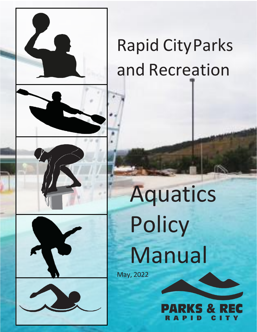



# Rapid CityParks and Recreation

# Aquatics Policy Manual

May, 2022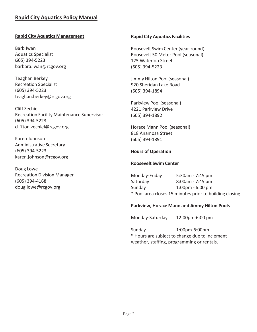# **Rapid City Aquatics Policy Manual**

# **Rapid City Aquatics Management**

Barb Iwan Aquatics Specialist (605) 394-5223 [barbara.iwan@rcgov.org](mailto:barbara.iwan@rcgov.org)

Teaghan Berkey Recreation Specialist (605) 394-5223 teaghan.berkey@rcgov.org

Cliff Zechiel Recreation Facility Maintenance Supervisor (605) 394-5223 [cliffton.zechiel@rcgov.org](mailto:cliffton.zechiel@rcgov.org)

Karen Johnson Administrative Secretary (605) 394-5223 [karen.johnson@rcgov.org](mailto:karen.johnson@rcgov.org)

Doug Lowe Recreation Division Manager (605) 394-4168 [doug.lowe@rcgov.org](mailto:doug.lowe@rcgov.org)

#### **Rapid City Aquatics Facilities**

Roosevelt Swim Center (year-round) Roosevelt 50 Meter Pool (seasonal) 125 Waterloo Street (605) 394-5223

Jimmy Hilton Pool (seasonal) 920 Sheridan Lake Road (605) 394-1894

Parkview Pool (seasonal) 4221 Parkview Drive (605) 394-1892

Horace Mann Pool (seasonal) 818 Anamosa Street (605) 394-1891

# **Hours of Operation**

#### **Roosevelt Swim Center**

Monday-Friday 5:30am - 7:45 pm Saturday 8:00am - 7:45 pm Sunday 1:00pm - 6:00 pm \* Pool area closes 15 minutes prior to building closing.

#### **Parkview, Horace Mann and Jimmy Hilton Pools**

Monday-Saturday 12:00pm-6:00 pm

Sunday 1:00pm-6:00pm \* Hours are subject to change due to inclement weather, staffing, programming or rentals.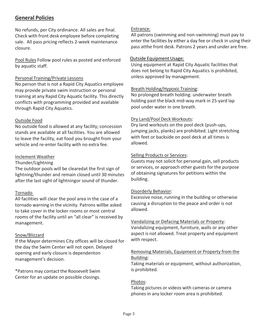# **General Policies**

No refunds, per City ordinance. All sales are final. Check with front desk employee before completing sale. All pass pricing reflects 2-week maintenance closure.

Pool Rules Follow pool rules as posted and enforced by aquatic staff.

# Personal Training/Private Lessons

No person that is not a Rapid City Aquatics employee may provide private swim instruction or personal training at any Rapid City Aquatic facility. This directly conflicts with programming provided and available through Rapid City Aquatics.

# Outside Food

No outside food is allowed at any facility; concession stands are available at all facilities. You are allowed to leave the facility, eat food you brought from your vehicle and re-enter facility with no extra fee.

# Inclement Weather

#### Thunder/Lightning

The outdoor pools will be clearedat the first sign of lightning/thunder and remain closed until 30 minutes after the last sight of lightningor sound of thunder.

# Tornado

All facilities will clear the pool area in the case of a tornado warning in the vicinity. Patrons willbe asked to take cover in the locker rooms or most central rooms of the facility until an "all clear" is received by management.

# Snow/Blizzard

If the Mayor determines City offices will be closed for the day the Swim Center will not open. Delayed opening and early closure is dependenton management's decision.

\*Patrons may contact the Roosevelt Swim Center for an update on possible closings.

# Entrance:

All patrons (swimming and non-swimming) must pay to enter the facilities by either a day fee or check in using their pass atthe front desk. Patrons 2 years and under are free.

# Outside Equipment Usage:

Using equipment at Rapid City Aquatic facilities that does not belong to Rapid City Aquatics is prohibited, unless approved by management.

#### Breath Holding/Hypoxic Training:

No prolonged breath holding: underwater breath holding past the black mid-way mark in 25-yard lap pool under water in one breath.

# Dry Land/Pool Deck Workouts:

Dry land workouts on the pool deck (push-ups, jumping jacks, planks) are prohibited. Light stretching with feet or backside on pool deck at all times is allowed.

# Selling Products or Services:

Guests may not solicit for personal gain, sell products or services, or approach other guests for the purpose of obtaining signatures for petitions within the building.

#### Disorderly Behavior:

Excessive noise, running in the building or otherwise causing a disruption to the peace and order is not allowed.

# Vandalizing or Defacing Materials or Property:

Vandalizing equipment, furniture, walls or any other aspect is not allowed. Treat property and equipment with respect.

# Removing Materials, Equipment or Property from the Building:

Taking materials or equipment, without authorization, is prohibited.

# Photos:

Taking pictures or videos with cameras or camera phones in any locker room area is prohibited.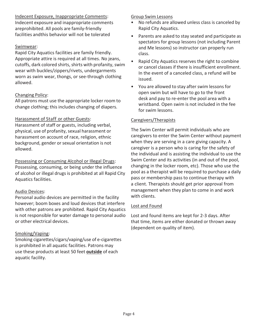Indecent Exposure, Inappropriate Comments:

Indecent exposure and inappropriate comments areprohibited. All pools are family-friendly facilities andthis behavior will not be tolerated

# Swimwear:

Rapid City Aquatics facilities are family friendly. Appropriate attire is required at all times. No jeans, cutoffs, dark colored shirts, shirts with profanity, swim wear with buckles/zippers/rivets, undergarments worn as swim wear, thongs, or see-through clothing allowed.

# Changing Policy:

All patrons must use the appropriate locker room to change clothing; this includes changing of diapers.

# Harassment of Staff or other Guests:

Harassment of staff or guests, including verbal, physical, use of profanity, sexual harassment or harassment on account of race, religion, ethnic background, gender or sexual orientation is not allowed.

Possessing or Consuming Alcohol or Illegal Drugs: Possessing, consuming, or being under the influence of alcohol or illegal drugs is prohibited at all Rapid City Aquatics facilities.

# Audio Devices:

Personal audio devices are permitted in the facility however; boom boxes and loud devices that interfere with other patrons are prohibited. Rapid City Aquatics is not responsible for water damage to personal audio or other electrical devices.

# Smoking/Vaping:

Smoking cigarettes/cigars/vaping/use of e-cigarettes is prohibited in all aquatic facilities. Patrons may use these products at least 50 feet **outside** of each aquatic facility.

# Group Swim Lessons

- No refunds are allowed unless class is canceled by Rapid City Aquatics.
- Parents are asked to stay seated and participate as spectators for group lessons (not including Parent and Me lessons) so instructor can properly run class.
- Rapid City Aquatics reserves the right to combine or cancel classes if there is insufficient enrollment. In the event of a canceled class, a refund will be issued.
- You are allowed to stay after swim lessons for open swim but will have to go to the front desk and pay to re-enter the pool area with a wristband. Open swim is not included in the fee for swim lessons.

# Caregivers/Therapists

The Swim Center will permit individuals who are caregivers to enter the Swim Center without payment when they are serving in a care giving capacity. A caregiver is a person who is caring for the safety of the individual and is assisting the individual to use the Swim Center and its activities (in and out of the pool, changing in the locker room, etc). Those who use the pool as a therapist will be required to purchase a daily pass or membership pass to continue therapy with a client. Therapists should get prior approval from management when they plan to come in and work with clients.

# Lost and Found

Lost and found items are kept for 2-3 days. After that time, items are either donated or thrown away (dependent on quality of item).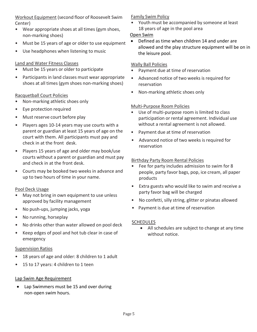# Workout Equipment (second floor of Roosevelt Swim Center)

- Wear appropriate shoes at all times (gym shoes, non-marking shoes)
- Must be 15 years of age or older to use equipment
- Use headphones when listening to music

# Land and Water Fitness Classes

- Must be 15 years or older to participate
- Participants in land classes must wear appropriate shoes at all times (gym shoes non-marking shoes)

# Racquetball Court Policies

- Non-marking athletic shoes only
- Eye protection required
- Must reserve court before play
- Players ages 10-14 years may use courts with a parent or guardian at least 15 years of age on the court with them. All participants must pay and check in at the front desk.
- Players 15 years of age and older may book/use courts without a parent or guardian and must pay and check in at the front desk.
- Courts may be booked two weeks in advance and up to two hours of time in your name.

# Pool Deck Usage

- May not bring in own equipment to use unless approved by facility management
- No push-ups, jumping jacks, yoga
- No running, horseplay
- No drinks other than water allowed on pool deck
- Keep edges of pool and hot tub clear in case of emergency

#### Supervision Ratios

- 18 years of age and older: 8 children to 1 adult
- 15 to 17 years: 4 children to 1 teen

#### Lap Swim Age Requirement

• Lap Swimmers must be 15 and over during non-open swim hours.

# Family Swim Policy

• Youth must be accompanied by someone at least 18 years of age in the pool area

# Open Swim

• Defined as time when children 14 and under are allowed and the play structure equipment will be on in the leisure pool.

# Wally Ball Policies

- Payment due at time of reservation
- Advanced notice of two weeks is required for reservation
- Non-marking athletic shoes only

#### Multi-Purpose Room Policies

- Use of multi-purpose room is limited to class participation or rental agreement. Individual use without a rental agreement is not allowed.
- Payment due at time of reservation
- Advanced notice of two weeks is required for reservation

# Birthday Party Room Rental Policies

- Fee for party includes admission to swim for 8 people, party favor bags, pop, ice cream, all paper products
- Extra guests who would like to swim and receive a party favor bag will be charged
- No confetti, silly string, glitter or pinatas allowed
- Payment is due at time of reservation

# **SCHEDULES**

• All schedules are subject to change at any time without notice.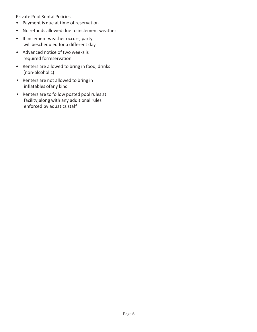#### Private Pool Rental Policies

- Payment is due at time of reservation
- No refunds allowed due to inclement weather
- If inclement weather occurs, party will bescheduled for a different day
- Advanced notice of two weeks is required forreservation
- Renters are allowed to bring in food, drinks (non-alcoholic)
- Renters are not allowed to bring in inflatables ofany kind
- Renters are to follow posted pool rules at facility,along with any additional rules enforced by aquatics staff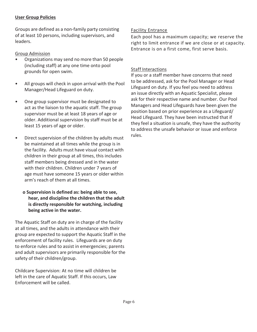# **User Group Policies**

Groups are defined as a non-family party consisting of at least 10 persons, including supervisors, and leaders.

# Group Admission

- Organizations may send no more than 50 people (including staff) at any one time onto pool grounds for open swim.
- All groups will check in upon arrival with the Pool Manager/Head Lifeguard on duty.
- One group supervisor must be designated to act as the liaison to the aquatic staff. The group supervisor must be at least 18 years of age or older. Additional supervision by staff must be at least 15 years of age or older.
- Direct supervision of the children by adults must be maintained at all times while the group is in the facility. Adults must have visual contact with children in their group at all times, this includes staff members being dressed and in the water with their children. Children under 7 years of age must have someone 15 years or older within arm's reach of them at all times.

# **o Supervision is defined as: being able to see, hear, and discipline the children that the adult is directly responsible for watching, including being active in the water.**

The Aquatic Staff on duty are in charge of the facility at all times, and the adults in attendance with their group are expected to support the Aquatic Staff in the enforcement of facility rules. Lifeguards are on duty to enforce rules and to assist in emergencies; parents and adult supervisors are primarily responsible for the safety of their children/group.

Childcare Supervision: At no time will children be left in the care of Aquatic Staff. If this occurs, Law Enforcement will be called.

# Facility Entrance

Each pool has a maximum capacity; we reserve the right to limit entrance if we are close or at capacity. Entrance is on a first come, first serve basis.

# Staff Interactions

If you or a staff member have concerns that need to be addressed, ask for the Pool Manager or Head Lifeguard on duty. If you feel you need to address an issue directly with an Aquatic Specialist, please ask for their respective name and number. Our Pool Managers and Head Lifeguards have been given the position based on prior experience as a Lifeguard/ Head Lifeguard. They have been instructed that if they feel a situation is unsafe, they have the authority to address the unsafe behavior or issue and enforce rules.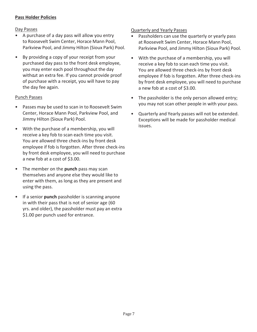# **Pass Holder Policies**

# Day Passes

- A purchase of a day pass will allow you entry to Roosevelt Swim Center, Horace Mann Pool, Parkview Pool, and Jimmy Hilton (Sioux Park) Pool.
- By providing a copy of your receipt from your purchased day pass to the front desk employee, you may enter each pool throughout the day without an extra fee. If you cannot provide proof of purchase with a receipt, you will have to pay the day fee again.

# Punch Passes

- Passes may be used to scan in to Roosevelt Swim Center, Horace Mann Pool, Parkview Pool, and Jimmy Hilton (Sioux Park) Pool.
- With the purchase of a membership, you will receive a key fob to scan each time you visit. You are allowed three check-ins by front desk employee if fob is forgotten. After three check-ins by front desk employee, you will need to purchase a new fob at a cost of \$3.00.
- The member on the **punch** pass may scan themselves and anyone else they would like to enter with them, as long as they are present and using the pass.
- If a senior **punch** passholder is scanning anyone in with their pass that is not of senior age (60 yrs. and older), the passholder must pay an extra \$1.00 per punch used for entrance.

# Quarterly and Yearly Passes

- Passholders can use the quarterly or yearly pass at Roosevelt Swim Center, Horace Mann Pool, Parkview Pool, and Jimmy Hilton (Sioux Park) Pool.
- With the purchase of a membership, you will receive a key fob to scan each time you visit. You are allowed three check-ins by front desk employee if fob is forgotten. After three check-ins by front desk employee, you will need to purchase a new fob at a cost of \$3.00.
- The passholder is the only person allowed entry; you may not scan other people in with your pass.
- Quarterly and Yearly passes will not be extended. Exceptions will be made for passholder medical issues.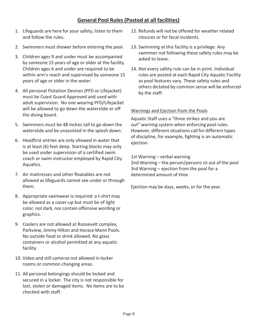# **General Pool Rules (Posted at all facilities)**

- 1. Lifeguards are here for your safety, listen to them and follow the rules.
- 2. Swimmers must shower before entering the pool.
- 3. Children ages 9 and under must be accompanied by someone 15 years of age or older at the facility. Children ages 6 and under are required to be within arm's reach and supervised by someone 15 years of age or older in the water.
- 4. All personal Flotation Devices (PFD or Lifejacket) must be Coast Guard Approved and used with adult supervision. No one wearing PFD/Lifejacket will be allowed to go down the waterslide or off the diving board.
- 5. Swimmers must be 48 inches tall to go down the waterslide and be unassisted in the splash down.
- 6. Headfirst entries are only allowed in water that is at least (6) feet deep. Starting blocks may only be used under supervision of a certified swim coach or swim instructor employed by Rapid City Aquatics.
- 7. Air mattresses and other floatables are not allowed as lifeguards cannot see under or through them.
- 8. Appropriate swimwear is required: a t-shirt may be allowed as a cover-up but must be of light color, not dark, nor contain offensive wording or graphics.
- 9. Coolers are not allowed at Roosevelt complex, Parkview, Jimmy Hilton and Horace Mann Pools. No outside food or drink allowed. No glass containers or alcohol permitted at any aquatic facility.
- 10. Video and still cameras not allowed in locker rooms or common changing areas.
- 11. All personal belongings should be locked and secured in a locker. The city is not responsible for lost, stolen or damaged items. No items are to be checked with staff.
- 12. Refunds will not be offered for weather related closures or for fecal incidents.
- 13. Swimming at this facility is a privilege. Any swimmer not following these safety rules may be asked to leave.
- 14. Not every safety rule can be in print. Individual rules are posted at each Rapid City Aquatic Facility as pool features vary. These safety rules and others dictated by common sense will be enforced by the staff.

# Warnings and Ejection from the Pools

Aquatic Staff uses a "three strikes and you are out" warning system when enforcing pool rules. However, different situations call for different types of discipline, for example, fighting is an automatic ejection.

1st Warning – verbal warning

2nd Warning – the person/persons sit out of the pool 3rd Warning – ejection from the pool for a determined amount of time

Ejection may be days, weeks, or for the year.